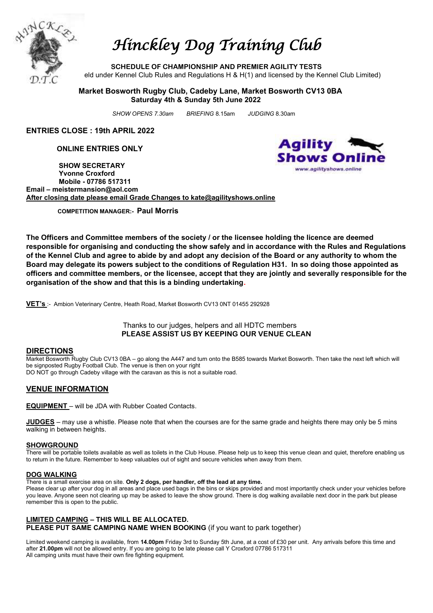

# *Hinckley Dog Training Club*

**SCHEDULE OF CHAMPIONSHIP AND PREMIER AGILITY TESTS** eld under Kennel Club Rules and Regulations H &  $H(1)$  and licensed by the Kennel Club Limited)

#### **Market Bosworth Rugby Club, Cadeby Lane, Market Bosworth CV13 0BA Saturday 4th & Sunday 5th June 2022**

 *SHOW OPENS 7.30am BRIEFING* 8.15am *JUDGING* 8.30am

**ENTRIES CLOSE : 19th APRIL 2022**

**ONLINE ENTRIES ONLY**

 **SHOW SECRETARY Yvonne Croxford Mobile - 07786 517311 Email – meistermansion@aol.com After closing date please email Grade Changes to kate@agilityshows.online**



**COMPETITION MANAGER:- Paul Morris**

**The Officers and Committee members of the society / or the licensee holding the licence are deemed responsible for organising and conducting the show safely and in accordance with the Rules and Regulations of the Kennel Club and agree to abide by and adopt any decision of the Board or any authority to whom the Board may delegate its powers subject to the conditions of Regulation H31. In so doing those appointed as officers and committee members, or the licensee, accept that they are jointly and severally responsible for the organisation of the show and that this is a binding undertaking.**

**VET's** :- Ambion Veterinary Centre, Heath Road, Market Bosworth CV13 0NT 01455 292928

Thanks to our judges, helpers and all HDTC members **PLEASE ASSIST US BY KEEPING OUR VENUE CLEAN**

#### **DIRECTIONS**

Market Bosworth Rugby Club CV13 0BA – go along the A447 and turn onto the B585 towards Market Bosworth. Then take the next left which will be signposted Rugby Football Club. The venue is then on your right DO NOT go through Cadeby village with the caravan as this is not a suitable road.

#### **VENUE INFORMATION**

**EQUIPMENT** – will be JDA with Rubber Coated Contacts.

**JUDGES** – may use a whistle. Please note that when the courses are for the same grade and heights there may only be 5 mins walking in between heights.

#### **SHOWGROUND**

There will be portable toilets available as well as toilets in the Club House. Please help us to keep this venue clean and quiet, therefore enabling us to return in the future. Remember to keep valuables out of sight and secure vehicles when away from them.

#### **DOG WALKING**

There is a small exercise area on site. **Only 2 dogs, per handler, off the lead at any time.**

Please clear up after your dog in all areas and place used bags in the bins or skips provided and most importantly check under your vehicles before you leave. Anyone seen not clearing up may be asked to leave the show ground. There is dog walking available next door in the park but please remember this is open to the public.

#### **LIMITED CAMPING – THIS WILL BE ALLOCATED. PLEASE PUT SAME CAMPING NAME WHEN BOOKING** (if you want to park together)

Limited weekend camping is available, from **14.00pm** Friday 3rd to Sunday 5th June, at a cost of £30 per unit. Any arrivals before this time and after **21.00pm** will not be allowed entry. If you are going to be late please call Y Croxford 07786 517311 All camping units must have their own fire fighting equipment.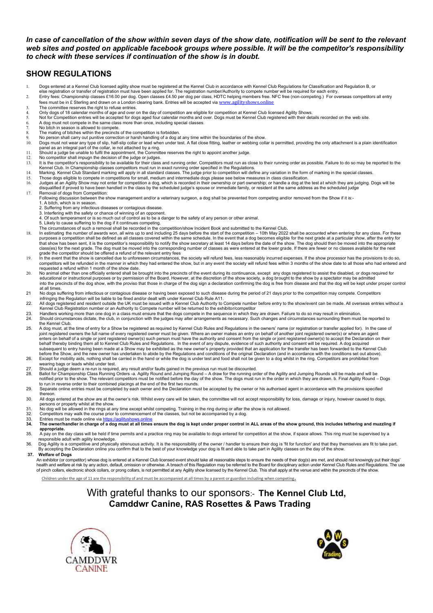#### In case of cancellation of the show within seven days of the show date, notification will be sent to the relevant *web sites and posted on applicable facebook groups where possible. It will be the competitor's responsibility to check with these services if continuation of the show is in doubt.*

### **SHOW REGULATIONS**

- 1. Dogs entered at a Kennel Club licensed agility show must be registered at the Kennel Club in accordance with Kennel Club Regulations for Classification and Regulation B, or
- 
- else registration or transfer of registration must have been applied for. The registration number/Authority to compete number will be required for each entry.<br>Entry fees: Championship classes £16.00 per dog. Open classes £
- 
- 3. The committee reserves the right to refuse entries. 4. Only dogs of 18 calendar months of age and over on the day of competition are eligible for competition at Kennel Club licensed Agility Shows.
- 5. Not for Competition entries will be accepted for dogs aged four calendar months and over. Dogs must be Kennel Club registered with their details recorded on the web site.
- 6. A dog must not compete in the same class more than once, including special classes.
- 7. No bitch in season is allowed to compete. 8. The mating of bitches within the precincts of the competition is forbidden.
- 
- 9. No person shall carry out punitive correction or harsh handling of a dog at any time within the boundaries of the show.<br>10. Dogs must not wear any type of slip, half-slip collar or lead when under test. A flat c
- 
- 
- panel as an integral part of the collar, ie not attached by a ring.<br>11. Should a judge be unable to fulfil the appointment, the Committee reserves the right to appoint another judge.<br>12. No competitor shall impugn the deci
- 
- 14. Marking. Kennel Club Standard marking will apply in all standard classes. The judge prior to competition will define any variation in the form of marking in the special classes.<br>15. Those dogs eligible to compete in co
- 17. Removal of dogs from Competition: Following discussion between the show management and/or a veterinary surgeon, a dog shall be prevented from competing and/or removed from the Show if it is:-
	- 1. A bitch, which is in season.
	- . Suffering from any infectious diseases or contagious disease
	- 3. Interfering with the safety or chance of winning of an opponent.
	- 4. Of such temperament or is so much out of control as to be a danger to the safety of any person or other animal.
	- 5. Likely to cause suffering to the dog if it continues competing. The circumstances of such a removal shall be recorded in the competition/show Incident Book and submitted to the Kennel Club**.**
- l8. In estimating the number of awards won, all wins up to and including 25 days before the start of the competition 10th May 2022 shall be accounted when entering for any class. For these<br>purposes a competition shall be class(es) for the next grade. The dog must be moved into the corresponding number of classes as were entered at the lower grade. If there are fewer or no classes available for the next<br>grade the competitor should be offere
- 19. In the event that the show is cancelled due to unforeseen circumstances, the society will refund fees, less reasonably incurred expenses. If the show processor has the provisions to do so, competitors will be refunded in the manner in which they had entered the show, but in any event the society will refund fees within 3 months of the show date to all those who had entered and<br>requested a refund within 1 mon
- 20. No animal other than one officially entered shall be brought into the precincts of the event during its continuance, except any dogs registered to assist the disabled, or dogs required for educational or instructional purposes or by permission of the Board. However, at the discretion of the show society, a dog brought to the show by a spectator may be admitted into the precincts of the dog show, with the proviso that those in charge of the dog sign a declaration confirming the dog is free from disease and that the dog will be kept under proper control at all times.<br>21 No dogs su
- No dogs suffering from infectious or contagious disease or having been exposed to such disease during the period of 21 days prior to the competition may compete. Competitors infringing the Regulation will be liable to be fined and/or dealt with under Kennel Club Rule A11.
- 22. All dogs registered and resident outside the UK must be issued with a Kennel Club Authority to Compete number before entry to the show/event can be made. All overseas entries without a<br>Kennel Club Registration number o
- 23. Handlers working more than one dog in a class must ensure that the dogs compete in the sequence in which they are drawn. Failure to do so may result in elimination.<br>24. Should circumstances dictate, the club, in conj
- the Kennel Club. 25. A dog must, at the time of entry for a Show be registered as required by Kennel Club Rules and Regulations in the owners' name (or registration or transfer applied for). In the case of<br>joint registered owners the full behalf thereby binding them all to Kennel Club Rules and Regulations. In the event of any dispute, evidence of such authority and consent will be required. A dog acquired<br>subsequent to entry having been made at a Show may
- 26. Except for mobility aids, nothing shall be carried in the hand or while the dog is under test and food shall not be given to a dog whilst in the ring. Competitors are prohibited from<br>wearing bags or leads whilst un
- 
- 27. Should a judge deem a re-run is required, any result and/or faults gained in the previous run must be discounted.<br>28. Ballot for Championship Class Running Orders -a. Agility Round and Jumping Round A draw for the ru
- 
- thereon. 30. All dogs entered at the show are at the owner's risk. Whilst every care will be taken, the committee will not accept responsibility for loss, damage or injury, however caused to dogs, persons or property whilst at the show.<br>31. No dog will be allowed in the rings at a
- 31. No dog will be allowed in the rings at any time except whilst competing. Training in the ring during or after the show is not allowed.<br>32. Competitors may walk the course prior to commencement of the classes but not be
- 32. Competitors may walk the course prior to commencement of the classes, but not be accompanied by a dog.<br>33. Entries must be made online via <u>https://aqilityshows.online</u>
- 
- **34. The owner/handler in charge of a dog must at all times ensure the dog is kept under proper control in ALL areas of the show ground, this includes tethering and muzzling if appropriate.**<br>35. A pay on the
- A pay on the day class will be held if time permits and a practice ring may be available to dogs entered for competition at the show, if space allows. This ring must be supervised by a
- responsible adult with agility knowledge.<br>.36. Dog Agility is a competitive and physically strenuous activity. It is the responsibility of the owner / handler to ensure their dog is 'fit for function' and that they t
- By accepting the Declaration online you confirm that to the best of your knowledge your dog is fit and able to take part in Agility classes on the day of the show. **37. Welfare of Dogs**

#### An exhibitor (or competitor) whose dog is entered at a Kennel Club licensed event should take all reasonable steps to ensure the needs of their dog(s) are met, and should not knowingly put their dogs'<br>health and welfare at health and welfare at risk by any action, default, omission or otherwise. A breach of this Regulation may be referred to the Board for disciplinary action under Kennel Club Rules and Regulations. The use<br>of pinch collars,

Children under the age of 11 are the responsibility of and must be accompanied at all times by a parent or guardian including when competing.

### With grateful thanks to our sponsors:- **The Kennel Club Ltd, Camddwr Canine, RAS Rosettes & Paws Trading**



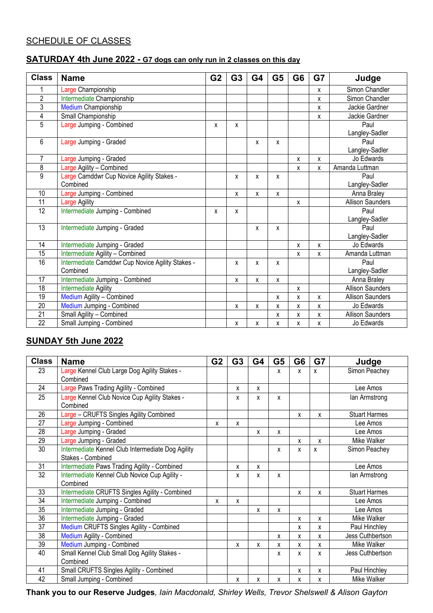### SCHEDULE OF CLASSES

### **SATURDAY 4th June 2022 - G7 dogs can only run in 2 classes on this day**

| <b>Class</b>    | <b>Name</b>                                      | G <sub>2</sub> | G <sub>3</sub> | G4 | G <sub>5</sub> | G <sub>6</sub> | G7           | Judge                   |
|-----------------|--------------------------------------------------|----------------|----------------|----|----------------|----------------|--------------|-------------------------|
| 1               | Large Championship                               |                |                |    |                |                | $\mathsf{x}$ | Simon Chandler          |
| $\overline{2}$  | Intermediate Championship                        |                |                |    |                |                | X            | Simon Chandler          |
| $\overline{3}$  | <b>Medium Championship</b>                       |                |                |    |                |                | X            | Jackie Gardner          |
| $\overline{4}$  | Small Championship                               |                |                |    |                |                | X            | Jackie Gardner          |
| $\overline{5}$  | Large Jumping - Combined                         | X              | X              |    |                |                |              | Paul                    |
|                 |                                                  |                |                |    |                |                |              | Langley-Sadler          |
| 6               | Large Jumping - Graded                           |                |                | X  | X              |                |              | Paul                    |
|                 |                                                  |                |                |    |                |                |              | Langley-Sadler          |
| $\overline{7}$  | Large Jumping - Graded                           |                |                |    |                | $\mathsf{x}$   | X            | Jo Edwards              |
| $\overline{8}$  | Large Agility - Combined                         |                |                |    |                | X              | X            | Amanda Luttman          |
| $\overline{9}$  | Large Camddwr Cup Novice Agility Stakes -        |                | X              | X  | X              |                |              | Paul                    |
|                 | Combined                                         |                |                |    |                |                |              | Langley-Sadler          |
| 10              | Large Jumping - Combined                         |                | X              | X  | X              |                |              | Anna Braley             |
| 11              | Large Agility                                    |                |                |    |                | X              |              | <b>Allison Saunders</b> |
| $\overline{12}$ | Intermediate Jumping - Combined                  | X              | X              |    |                |                |              | Paul                    |
|                 |                                                  |                |                |    |                |                |              | Langley-Sadler          |
| 13              | Intermediate Jumping - Graded                    |                |                | X  | X              |                |              | Paul                    |
|                 |                                                  |                |                |    |                |                |              | Langley-Sadler          |
| 14              | Intermediate Jumping - Graded                    |                |                |    |                | X              | X            | Jo Edwards              |
| $\overline{15}$ | Intermediate Agility - Combined                  |                |                |    |                | X              | X            | Amanda Luttman          |
| 16              | Intermediate Camddwr Cup Novice Agility Stakes - |                | x              | X  | X              |                |              | Paul                    |
|                 | Combined                                         |                |                |    |                |                |              | Langley-Sadler          |
| 17              | Intermediate Jumping - Combined                  |                | X              | X  | X              |                |              | Anna Braley             |
| $\overline{18}$ | <b>Intermediate Agility</b>                      |                |                |    |                | X              |              | <b>Allison Saunders</b> |
| 19              | Medium Agility - Combined                        |                |                |    | X              | X              | X            | <b>Allison Saunders</b> |
| 20              | Medium Jumping - Combined                        |                | x              | x  | x              | X              | X            | Jo Edwards              |
| 21              | Small Agility - Combined                         |                |                |    | X              | X              | X            | <b>Allison Saunders</b> |
| 22              | Small Jumping - Combined                         |                | x              | X  | X              | X              | X            | Jo Edwards              |

### **SUNDAY 5th June 2022**

| <b>Class</b>    | <b>Name</b>                                               | G <sub>2</sub> | G <sub>3</sub> | G4 | G <sub>5</sub> | G <sub>6</sub> | G7           | Judge                |
|-----------------|-----------------------------------------------------------|----------------|----------------|----|----------------|----------------|--------------|----------------------|
| 23              | Large Kennel Club Large Dog Agility Stakes -              |                |                |    | X              | X              | X            | Simon Peachey        |
|                 | Combined                                                  |                |                |    |                |                |              |                      |
| $\overline{24}$ | Large Paws Trading Agility - Combined                     |                | X              | X  |                |                |              | Lee Amos             |
| $\overline{25}$ | Large Kennel Club Novice Cup Agility Stakes -<br>Combined |                | X              | X  | X              |                |              | lan Armstrong        |
| 26              | Large - CRUFTS Singles Agility Combined                   |                |                |    |                | x              | X            | <b>Stuart Harmes</b> |
| 27              | Large Jumping - Combined                                  | x              | X              |    |                |                |              | Lee Amos             |
| 28              | Large Jumping - Graded                                    |                |                | X  | X              |                |              | Lee Amos             |
| 29              | Large Jumping - Graded                                    |                |                |    |                | X              | X            | Mike Walker          |
| 30              | Intermediate Kennel Club Intermediate Dog Agility         |                |                |    | X              | X              | $\mathsf{x}$ | Simon Peachey        |
|                 | Stakes - Combined                                         |                |                |    |                |                |              |                      |
| 31              | Intermediate Paws Trading Agility - Combined              |                | x              | x  |                |                |              | Lee Amos             |
| 32              | Intermediate Kennel Club Novice Cup Agility -             |                | x              | x  | x              |                |              | lan Armstrong        |
|                 | Combined                                                  |                |                |    |                |                |              |                      |
| 33              | Intermediate CRUFTS Singles Agility - Combined            |                |                |    |                | X              | X            | <b>Stuart Harmes</b> |
| 34              | Intermediate Jumping - Combined                           | x              | X              |    |                |                |              | Lee Amos             |
| 35              | Intermediate Jumping - Graded                             |                |                | x  | x              |                |              | Lee Amos             |
| 36              | Intermediate Jumping - Graded                             |                |                |    |                | x              | X            | Mike Walker          |
| 37              | Medium CRUFTS Singles Agility - Combined                  |                |                |    |                | X              | X            | Paul Hinchley        |
| $\overline{38}$ | Medium Agility - Combined                                 |                |                |    | X              | X              | x            | Jess Cuthbertson     |
| $\overline{39}$ | Medium Jumping - Combined                                 |                | X              | X  | X              | X              | X            | Mike Walker          |
| 40              | Small Kennel Club Small Dog Agility Stakes -              |                |                |    | x              | x              | x            | Jess Cuthbertson     |
|                 | Combined                                                  |                |                |    |                |                |              |                      |
| 41              | Small CRUFTS Singles Agility - Combined                   |                |                |    |                | x              | X            | Paul Hinchley        |
| 42              | Small Jumping - Combined                                  |                | x              | x  | X              | X              | X            | Mike Walker          |

**Thank you to our Reserve Judges***, Iain Macdonald, Shirley Wells, Trevor Shelswell & Alison Gayton*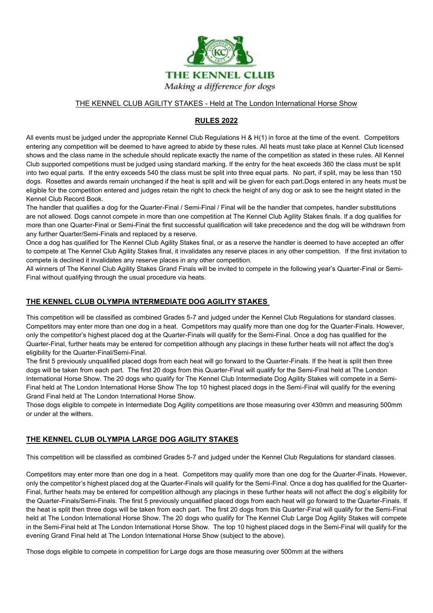

#### THE KENNEL CLUB AGILITY STAKES - Held at The London International Horse Show

### **RULES 2022**

All events must be judged under the appropriate Kennel Club Regulations H & H(1) in force at the time of the event. Competitors entering any competition will be deemed to have agreed to abide by these rules. All heats must take place at Kennel Club licensed shows and the class name in the schedule should replicate exactly the name of the competition as stated in these rules. All Kennel Club supported competitions must be judged using standard marking. If the entry for the heat exceeds 360 the class must be split into two equal parts. If the entry exceeds 540 the class must be split into three equal parts. No part, if split, may be less than 150 dogs. Rosettes and awards remain unchanged if the heat is split and will be given for each part.Dogs entered in any heats must be eligible for the competition entered and judges retain the right to check the height of any dog or ask to see the height stated in the Kennel Club Record Book.

The handler that qualifies a dog for the Quarter-Final / Semi-Final / Final will be the handler that competes, handler substitutions are not allowed. Dogs cannot compete in more than one competition at The Kennel Club Agility Stakes finals. If a dog qualifies for more than one Quarter-Final or Semi-Final the first successful qualification will take precedence and the dog will be withdrawn from any further Quarter/Semi-Finals and replaced by a reserve.

Once a dog has qualified for The Kennel Club Agility Stakes final, or as a reserve the handler is deemed to have accepted an offer to compete at The Kennel Club Agility Stakes final, it invalidates any reserve places in any other competition. If the first invitation to compete is declined it invalidates any reserve places in any other competition.

All winners of The Kennel Club Agility Stakes Grand Finals will be invited to compete in the following year's Quarter-Final or Semi-Final without qualifying through the usual procedure via heats.

#### **THE KENNEL CLUB OLYMPIA INTERMEDIATE DOG AGILITY STAKES**

This competition will be classified as combined Grades 5-7 and judged under the Kennel Club Regulations for standard classes. Competitors may enter more than one dog in a heat. Competitors may qualify more than one dog for the Quarter-Finals. However, only the competitor's highest placed dog at the Quarter-Finals will qualify for the Semi-Final. Once a dog has qualified for the Quarter-Final, further heats may be entered for competition although any placings in these further heats will not affect the dog's eligibility for the Quarter-Final/Semi-Final.

The first 5 previously unqualified placed dogs from each heat will go forward to the Quarter-Finals. If the heat is split then three dogs will be taken from each part. The first 20 dogs from this Quarter-Final will qualify for the Semi-Final held at The London International Horse Show. The 20 dogs who qualify for The Kennel Club Intermediate Dog Agility Stakes will compete in a Semi-Final held at The London International Horse Show The top 10 highest placed dogs in the Semi-Final will qualify for the evening Grand Final held at The London International Horse Show.

Those dogs eligible to compete in Intermediate Dog Agility competitions are those measuring over 430mm and measuring 500mm or under at the withers.

#### **THE KENNEL CLUB OLYMPIA LARGE DOG AGILITY STAKES**

This competition will be classified as combined Grades 5-7 and judged under the Kennel Club Regulations for standard classes.

Competitors may enter more than one dog in a heat. Competitors may qualify more than one dog for the Quarter-Finals. However, only the competitor's highest placed dog at the Quarter-Finals will qualify for the Semi-Final. Once a dog has qualified for the Quarter-Final, further heats may be entered for competition although any placings in these further heats will not affect the dog's eligibility for the Quarter-Finals/Semi-Finals. The first 5 previously unqualified placed dogs from each heat will go forward to the Quarter-Finals. If the heat is split then three dogs will be taken from each part. The first 20 dogs from this Quarter-Final will qualify for the Semi-Final held at The London International Horse Show. The 20 dogs who qualify for The Kennel Club Large Dog Agility Stakes will compete in the Semi-Final held at The London International Horse Show. The top 10 highest placed dogs in the Semi-Final will qualify for the evening Grand Final held at The London International Horse Show (subject to the above).

Those dogs eligible to compete in competition for Large dogs are those measuring over 500mm at the withers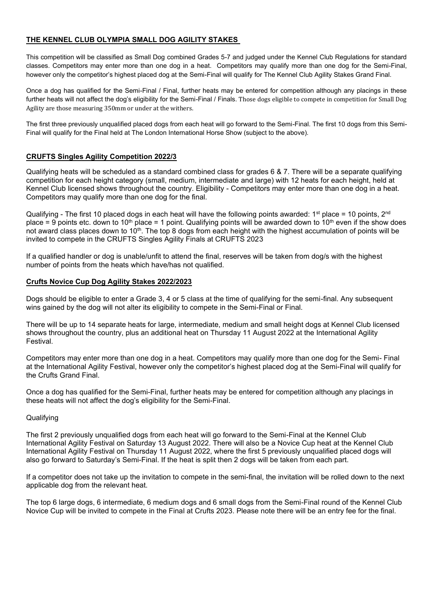#### **THE KENNEL CLUB OLYMPIA SMALL DOG AGILITY STAKES**

This competition will be classified as Small Dog combined Grades 5-7 and judged under the Kennel Club Regulations for standard classes. Competitors may enter more than one dog in a heat. Competitors may qualify more than one dog for the Semi-Final, however only the competitor's highest placed dog at the Semi-Final will qualify for The Kennel Club Agility Stakes Grand Final.

Once a dog has qualified for the Semi-Final / Final, further heats may be entered for competition although any placings in these further heats will not affect the dog's eligibility for the Semi-Final / Finals. Those dogs eligible to compete in competition for Small Dog Agility are those measuring 350mm or under at the withers.

The first three previously unqualified placed dogs from each heat will go forward to the Semi-Final. The first 10 dogs from this Semi-Final will qualify for the Final held at The London International Horse Show (subject to the above).

#### **CRUFTS Singles Agility Competition 2022/3**

Qualifying heats will be scheduled as a standard combined class for grades 6 & 7. There will be a separate qualifying competition for each height category (small, medium, intermediate and large) with 12 heats for each height, held at Kennel Club licensed shows throughout the country. Eligibility - Competitors may enter more than one dog in a heat. Competitors may qualify more than one dog for the final.

Qualifying - The first 10 placed dogs in each heat will have the following points awarded: 1<sup>st</sup> place = 10 points, 2<sup>nd</sup> place = 9 points etc. down to 10<sup>th</sup> place = 1 point. Qualifying points will be awarded down to 10<sup>th</sup> even if the show does not award class places down to 10<sup>th</sup>. The top 8 dogs from each height with the highest accumulation of points will be invited to compete in the CRUFTS Singles Agility Finals at CRUFTS 2023

If a qualified handler or dog is unable/unfit to attend the final, reserves will be taken from dog/s with the highest number of points from the heats which have/has not qualified.

#### **Crufts Novice Cup Dog Agility Stakes 2022/2023**

Dogs should be eligible to enter a Grade 3, 4 or 5 class at the time of qualifying for the semi-final. Any subsequent wins gained by the dog will not alter its eligibility to compete in the Semi-Final or Final.

There will be up to 14 separate heats for large, intermediate, medium and small height dogs at Kennel Club licensed shows throughout the country, plus an additional heat on Thursday 11 August 2022 at the International Agility Festival.

Competitors may enter more than one dog in a heat. Competitors may qualify more than one dog for the Semi- Final at the International Agility Festival, however only the competitor's highest placed dog at the Semi-Final will qualify for the Crufts Grand Final.

Once a dog has qualified for the Semi-Final, further heats may be entered for competition although any placings in these heats will not affect the dog's eligibility for the Semi-Final.

#### **Qualifying**

The first 2 previously unqualified dogs from each heat will go forward to the Semi-Final at the Kennel Club International Agility Festival on Saturday 13 August 2022. There will also be a Novice Cup heat at the Kennel Club International Agility Festival on Thursday 11 August 2022, where the first 5 previously unqualified placed dogs will also go forward to Saturday's Semi-Final. If the heat is split then 2 dogs will be taken from each part.

If a competitor does not take up the invitation to compete in the semi-final, the invitation will be rolled down to the next applicable dog from the relevant heat.

The top 6 large dogs, 6 intermediate, 6 medium dogs and 6 small dogs from the Semi-Final round of the Kennel Club Novice Cup will be invited to compete in the Final at Crufts 2023. Please note there will be an entry fee for the final.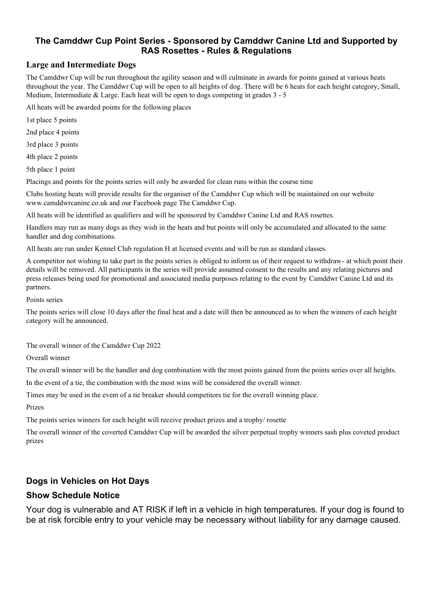### **The Camddwr Cup Point Series - Sponsored by Camddwr Canine Ltd and Supported by RAS Rosettes - Rules & Regulations**

### **Large and Intermediate Dogs**

The Camddwr Cup will be run throughout the agility season and will culminate in awards for points gained at various heats throughout the year. The Camddwr Cup will be open to all heights of dog. There will be 6 heats for each height category, Small, Medium, Intermediate & Large. Each heat will be open to dogs competing in grades  $3 - 5$ 

All heats will be awarded points for the following places

1st place 5 points

2nd place 4 points

3rd place 3 points

4th place 2 points

5th place 1 point

Placings and points for the points series will only be awarded for clean runs within the course time

Clubs hosting heats will provide results for the organiser of the Camddwr Cup which will be maintained on our website www.camddwrcanine.co.uk and our Facebook page The Camddwr Cup.

All heats will be identified as qualifiers and will be sponsored by Camddwr Canine Ltd and RAS rosettes.

Handlers may run as many dogs as they wish in the heats and but points will only be accumulated and allocated to the same handler and dog combinations.

All heats are run under Kennel Club regulation H at licensed events and will be run as standard classes.

A competitor not wishing to take part in the points series is obliged to inform us of their request to withdraw- at which point their details will be removed. All participants in the series will provide assumed consent to the results and any relating pictures and press releases being used for promotional and associated media purposes relating to the event by Camddwr Canine Ltd and its partners.

Points series

The points series will close 10 days after the final heat and a date will then be announced as to when the winners of each height category will be announced.

The overall winner of the Camddwr Cup 2022

Overall winner

The overall winner will be the handler and dog combination with the most points gained from the points series over all heights.

In the event of a tie, the combination with the most wins will be considered the overall winner.

Times may be used in the event of a tie breaker should competitors tie for the overall winning place.

Prizes

The points series winners for each height will receive product prizes and a trophy/ rosette

The overall winner of the coverted Camddwr Cup will be awarded the silver perpetual trophy winners sash plus coveted product prizes

### **Dogs in Vehicles on Hot Days**

### **Show Schedule Notice**

Your dog is vulnerable and AT RISK if left in a vehicle in high temperatures. If your dog is found to be at risk forcible entry to your vehicle may be necessary without liability for any damage caused.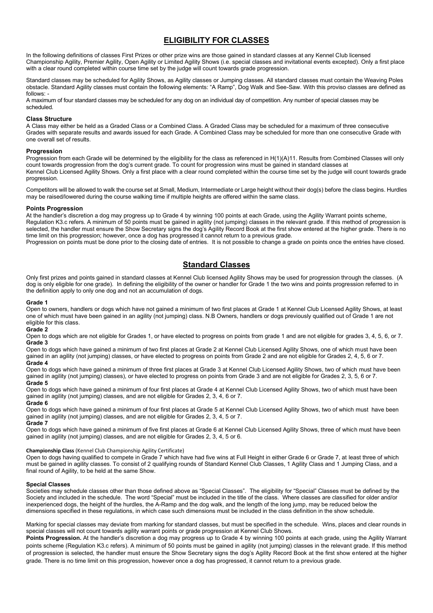### **ELIGIBILITY FOR CLASSES**

In the following definitions of classes First Prizes or other prize wins are those gained in standard classes at any Kennel Club licensed Championship Agility, Premier Agility, Open Agility or Limited Agility Shows (i.e. special classes and invitational events excepted). Only a first place with a clear round completed within course time set by the judge will count towards grade progression.

Standard classes may be scheduled for Agility Shows, as Agility classes or Jumping classes. All standard classes must contain the Weaving Poles obstacle. Standard Agility classes must contain the following elements: "A Ramp", Dog Walk and See-Saw. With this proviso classes are defined as follows: -

A maximum of four standard classes may be scheduled for any dog on an individual day of competition. Any number of special classes may be scheduled.

#### **Class Structure**

A Class may either be held as a Graded Class or a Combined Class. A Graded Class may be scheduled for a maximum of three consecutive Grades with separate results and awards issued for each Grade. A Combined Class may be scheduled for more than one consecutive Grade with one overall set of results.

#### **Progression**

Progression from each Grade will be determined by the eligibility for the class as referenced in H(1)(A)11. Results from Combined Classes will only count towards progression from the dog's current grade. To count for progression wins must be gained in standard classes at Kennel Club Licensed Agility Shows. Only a first place with a clear round completed within the course time set by the judge will count towards grade progression.

Competitors will be allowed to walk the course set at Small, Medium, Intermediate or Large height without their dog(s) before the class begins. Hurdles may be raised/lowered during the course walking time if multiple heights are offered within the same class.

#### **Points Progression**

At the handler's discretion a dog may progress up to Grade 4 by winning 100 points at each Grade, using the Agility Warrant points scheme, Regulation K3.c refers. A minimum of 50 points must be gained in agility (not jumping) classes in the relevant grade. If this method of progression is selected, the handler must ensure the Show Secretary signs the dog's Agility Record Book at the first show entered at the higher grade. There is no time limit on this progression; however, once a dog has progressed it cannot return to a previous grade.

Progression on points must be done prior to the closing date of entries. It is not possible to change a grade on points once the entries have closed.

#### **Standard Classes**

Only first prizes and points gained in standard classes at Kennel Club licensed Agility Shows may be used for progression through the classes. (A dog is only eligible for one grade). In defining the eligibility of the owner or handler for Grade 1 the two wins and points progression referred to in the definition apply to only one dog and not an accumulation of dogs.

#### **Grade 1**

Open to owners, handlers or dogs which have not gained a minimum of two first places at Grade 1 at Kennel Club Licensed Agility Shows, at least one of which must have been gained in an agility (not jumping) class. N.B Owners, handlers or dogs previously qualified out of Grade 1 are not eligible for this class.

#### **Grade 2**

Open to dogs which are not eligible for Grades 1, or have elected to progress on points from grade 1 and are not eligible for grades 3, 4, 5, 6, or 7. **Grade 3** 

Open to dogs which have gained a minimum of two first places at Grade 2 at Kennel Club Licensed Agility Shows, one of which must have been gained in an agility (not jumping) classes, or have elected to progress on points from Grade 2 and are not eligible for Grades 2, 4, 5, 6 or 7. **Grade 4**

Open to dogs which have gained a minimum of three first places at Grade 3 at Kennel Club Licensed Agility Shows, two of which must have been gained in agility (not jumping) classes), or have elected to progress on points from Grade 3 and are not eligible for Grades 2, 3, 5, 6 or 7. **Grade 5**

Open to dogs which have gained a minimum of four first places at Grade 4 at Kennel Club Licensed Agility Shows, two of which must have been gained in agility (not jumping) classes, and are not eligible for Grades 2, 3, 4, 6 or 7.

#### **Grade 6**

Open to dogs which have gained a minimum of four first places at Grade 5 at Kennel Club Licensed Agility Shows, two of which must have been gained in agility (not jumping) classes, and are not eligible for Grades 2, 3, 4, 5 or 7. **Grade 7**

Open to dogs which have gained a minimum of five first places at Grade 6 at Kennel Club Licensed Agility Shows, three of which must have been gained in agility (not jumping) classes, and are not eligible for Grades 2, 3, 4, 5 or 6.

#### **Championship Class** (Kennel Club Championship Agility Certificate)

Open to dogs having qualified to compete in Grade 7 which have had five wins at Full Height in either Grade 6 or Grade 7, at least three of which must be gained in agility classes. To consist of 2 qualifying rounds of Standard Kennel Club Classes, 1 Agility Class and 1 Jumping Class, and a final round of Agility, to be held at the same Show.

#### **Special Classes**

Societies may schedule classes other than those defined above as "Special Classes". The eligibility for "Special" Classes must be defined by the Society and included in the schedule. The word "Special" must be included in the title of the class. Where classes are classified for older and/or inexperienced dogs, the height of the hurdles, the A-Ramp and the dog walk, and the length of the long jump, may be reduced below the dimensions specified in these regulations, in which case such dimensions must be included in the class definition in the show schedule.

Marking for special classes may deviate from marking for standard classes, but must be specified in the schedule. Wins, places and clear rounds in special classes will not count towards agility warrant points or grade progression at Kennel Club Shows.

Points Progression. At the handler's discretion a dog may progress up to Grade 4 by winning 100 points at each grade, using the Agility Warrant points scheme (Regulation K3.c refers). A minimum of 50 points must be gained in agility (not jumping) classes in the relevant grade. If this method of progression is selected, the handler must ensure the Show Secretary signs the dog's Agility Record Book at the first show entered at the higher grade. There is no time limit on this progression, however once a dog has progressed, it cannot return to a previous grade.